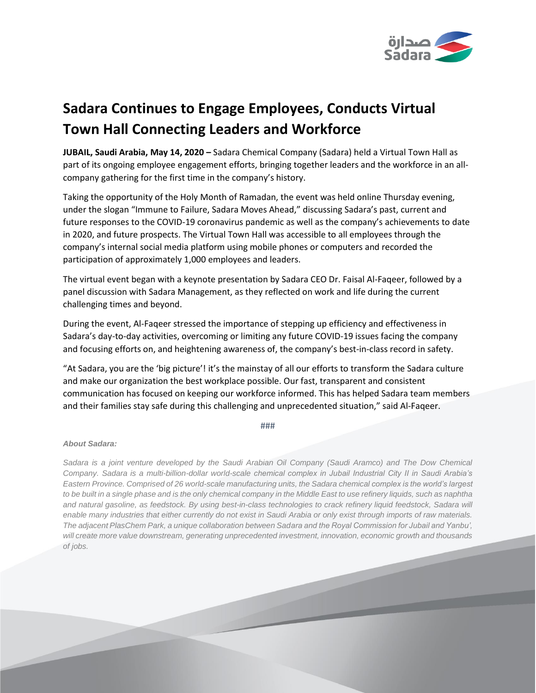

## **Sadara Continues to Engage Employees, Conducts Virtual Town Hall Connecting Leaders and Workforce**

**JUBAIL, Saudi Arabia, May 14, 2020 –** Sadara Chemical Company (Sadara) held a Virtual Town Hall as part of its ongoing employee engagement efforts, bringing together leaders and the workforce in an allcompany gathering for the first time in the company's history.

Taking the opportunity of the Holy Month of Ramadan, the event was held online Thursday evening, under the slogan "Immune to Failure, Sadara Moves Ahead," discussing Sadara's past, current and future responses to the COVID-19 coronavirus pandemic as well as the company's achievements to date in 2020, and future prospects. The Virtual Town Hall was accessible to all employees through the company's internal social media platform using mobile phones or computers and recorded the participation of approximately 1,000 employees and leaders.

The virtual event began with a keynote presentation by Sadara CEO Dr. Faisal Al-Faqeer, followed by a panel discussion with Sadara Management, as they reflected on work and life during the current challenging times and beyond.

During the event, Al-Faqeer stressed the importance of stepping up efficiency and effectiveness in Sadara's day-to-day activities, overcoming or limiting any future COVID-19 issues facing the company and focusing efforts on, and heightening awareness of, the company's best-in-class record in safety.

"At Sadara, you are the 'big picture'! it's the mainstay of all our efforts to transform the Sadara culture and make our organization the best workplace possible. Our fast, transparent and consistent communication has focused on keeping our workforce informed. This has helped Sadara team members and their families stay safe during this challenging and unprecedented situation," said Al-Faqeer.

###

## *About Sadara:*

*Sadara is a joint venture developed by the Saudi Arabian Oil Company (Saudi Aramco) and The Dow Chemical Company. Sadara is a multi-billion-dollar world-scale chemical complex in Jubail Industrial City II in Saudi Arabia's Eastern Province. Comprised of 26 world-scale manufacturing units, the Sadara chemical complex is the world's largest to be built in a single phase and is the only chemical company in the Middle East to use refinery liquids, such as naphtha* and natural gasoline, as feedstock. By using best-in-class technologies to crack refinery liquid feedstock, Sadara will *enable many industries that either currently do not exist in Saudi Arabia or only exist through imports of raw materials. The adjacent PlasChem Park, a unique collaboration between Sadara and the Royal Commission for Jubail and Yanbu', will create more value downstream, generating unprecedented investment, innovation, economic growth and thousands of jobs.*